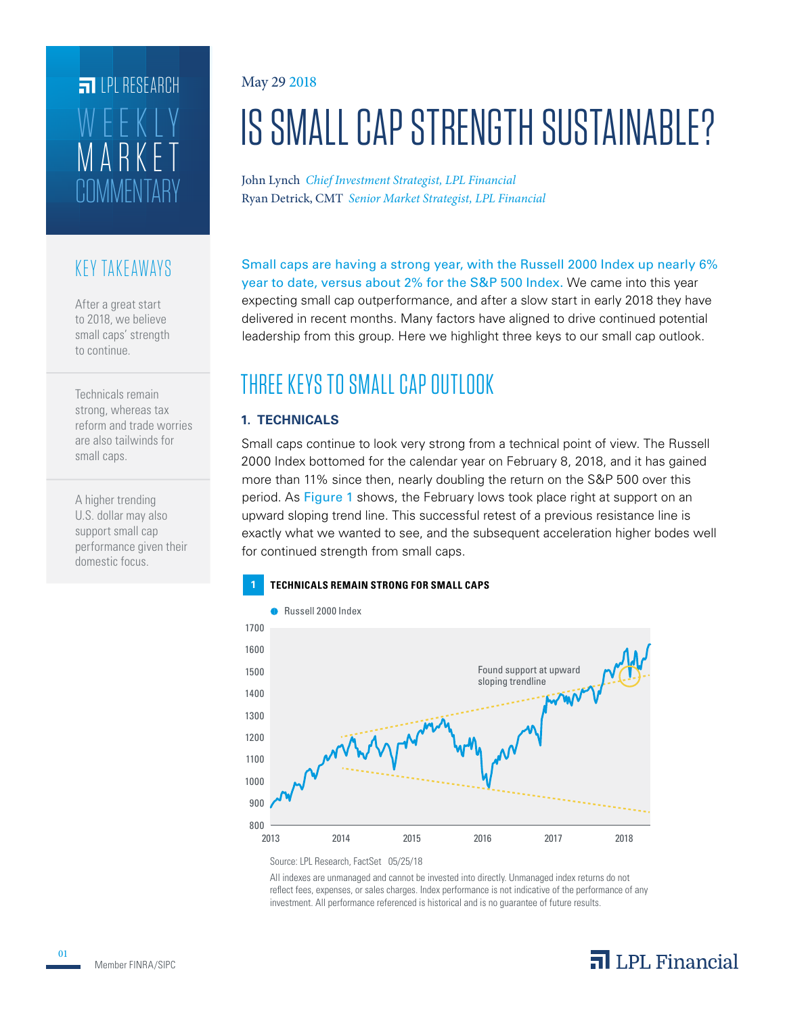# L'IMMENTARY MARKET WEEKLY **FILPI RESEARCH**

### KEY TAKEAWAYS

After a great start to 2018, we believe small caps' strength to continue.

Technicals remain strong, whereas tax reform and trade worries are also tailwinds for small caps.

A higher trending U.S. dollar may also support small cap performance given their domestic focus.

#### May 29 2018

# IS SMALL CAP STRENGTH SUSTAINABLE?

Ryan Detrick, CMT *Senior Market Strategist, LPL Financial* John Lynch *Chief Investment Strategist, LPL Financial*

Small caps are having a strong year, with the Russell 2000 Index up nearly 6% year to date, versus about 2% for the S&P 500 Index. We came into this year expecting small cap outperformance, and after a slow start in early 2018 they have delivered in recent months. Many factors have aligned to drive continued potential leadership from this group. Here we highlight three keys to our small cap outlook.

# THREE KEYS TO SMALL CAP OUTLOOK

#### **1. TECHNICALS**

Small caps continue to look very strong from a technical point of view. The Russell 2000 Index bottomed for the calendar year on February 8, 2018, and it has gained more than 11% since then, nearly doubling the return on the S&P 500 over this period. As Figure 1 shows, the February lows took place right at support on an upward sloping trend line. This successful retest of a previous resistance line is exactly what we wanted to see, and the subsequent acceleration higher bodes well for continued strength from small caps.



Source: LPL Research, FactSet 05/25/18

All indexes are unmanaged and cannot be invested into directly. Unmanaged index returns do not reflect fees, expenses, or sales charges. Index performance is not indicative of the performance of any investment. All performance referenced is historical and is no guarantee of future results.

## $\overline{\mathbf{a}}$  LPL Financial

01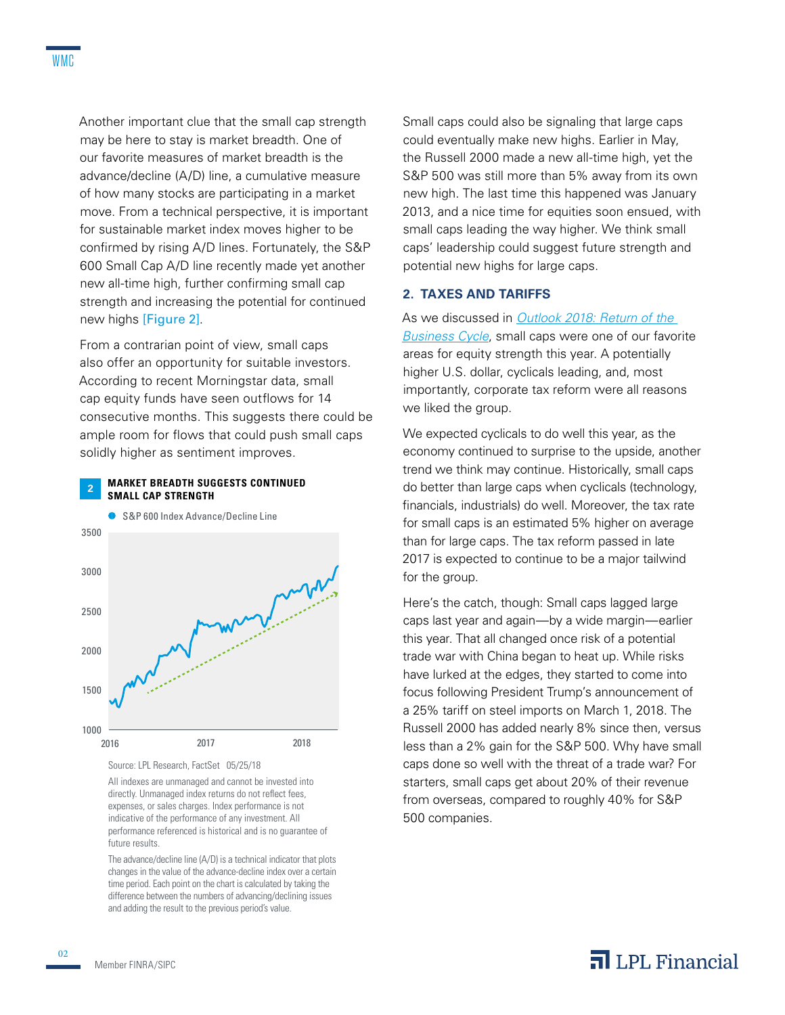Another important clue that the small cap strength may be here to stay is market breadth. One of our favorite measures of market breadth is the advance/decline (A/D) line, a cumulative measure of how many stocks are participating in a market move. From a technical perspective, it is important for sustainable market index moves higher to be confirmed by rising A/D lines. Fortunately, the S&P 600 Small Cap A/D line recently made yet another new all-time high, further confirming small cap strength and increasing the potential for continued new highs [Figure 2].

From a contrarian point of view, small caps also offer an opportunity for suitable investors. According to recent Morningstar data, small cap equity funds have seen outflows for 14 consecutive months. This suggests there could be ample room for flows that could push small caps solidly higher as sentiment improves.



Source: LPL Research, FactSet 05/25/18

All indexes are unmanaged and cannot be invested into directly. Unmanaged index returns do not reflect fees, expenses, or sales charges. Index performance is not indicative of the performance of any investment. All performance referenced is historical and is no guarantee of future results.

The advance/decline line (A/D) is a technical indicator that plots changes in the value of the advance-decline index over a certain time period. Each point on the chart is calculated by taking the difference between the numbers of advancing/declining issues and adding the result to the previous period's value.

Small caps could also be signaling that large caps could eventually make new highs. Earlier in May, the Russell 2000 made a new all-time high, yet the S&P 500 was still more than 5% away from its own new high. The last time this happened was January 2013, and a nice time for equities soon ensued, with small caps leading the way higher. We think small caps' leadership could suggest future strength and potential new highs for large caps.

#### **2. TAXES AND TARIFFS**

#### As we discussed in *Outlook 2018: Return of the*

*Business Cycle*, small caps were one of our favorite areas for equity strength this year. A potentially higher U.S. dollar, cyclicals leading, and, most importantly, corporate tax reform were all reasons we liked the group.

We expected cyclicals to do well this year, as the economy continued to surprise to the upside, another trend we think may continue. Historically, small caps do better than large caps when cyclicals (technology, financials, industrials) do well. Moreover, the tax rate for small caps is an estimated 5% higher on average than for large caps. The tax reform passed in late 2017 is expected to continue to be a major tailwind for the group.

Here's the catch, though: Small caps lagged large caps last year and again—by a wide margin—earlier this year. That all changed once risk of a potential trade war with China began to heat up. While risks have lurked at the edges, they started to come into focus following President Trump's announcement of a 25% tariff on steel imports on March 1, 2018. The Russell 2000 has added nearly 8% since then, versus less than a 2% gain for the S&P 500. Why have small caps done so well with the threat of a trade war? For starters, small caps get about 20% of their revenue from overseas, compared to roughly 40% for S&P 500 companies.

02

### $\overline{\mathbf{a}}$  LPL Financial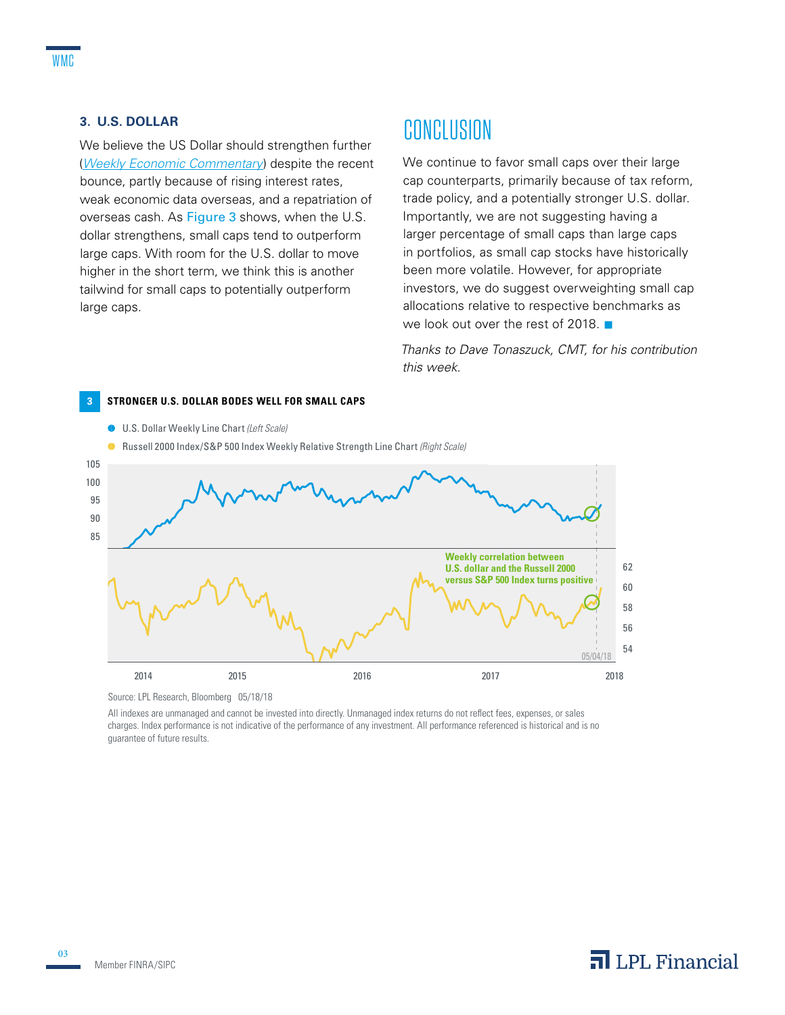#### **3. U.S. DOLLAR**

We believe the US Dollar should strengthen further (*Weekly Economic Commentary*) despite the recent bounce, partly because of rising interest rates, weak economic data overseas, and a repatriation of overseas cash. As Figure 3 shows, when the U.S. dollar strengthens, small caps tend to outperform large caps. With room for the U.S. dollar to move higher in the short term, we think this is another tailwind for small caps to potentially outperform large caps.

## CONCLUSION

We continue to favor small caps over their large cap counterparts, primarily because of tax reform, trade policy, and a potentially stronger U.S. dollar. Importantly, we are not suggesting having a larger percentage of small caps than large caps in portfolios, as small cap stocks have historically been more volatile. However, for appropriate investors, we do suggest overweighting small cap allocations relative to respective benchmarks as we look out over the rest of 2018.  $\blacksquare$ 

*Thanks to Dave Tonaszuck, CMT, for his contribution this week.*



Source: LPL Research, Bloomberg 05/18/18

All indexes are unmanaged and cannot be invested into directly. Unmanaged index returns do not reflect fees, expenses, or sales charges. Index performance is not indicative of the performance of any investment. All performance referenced is historical and is no guarantee of future results.

### $\overline{\mathbf{a}}$  LPL Financial